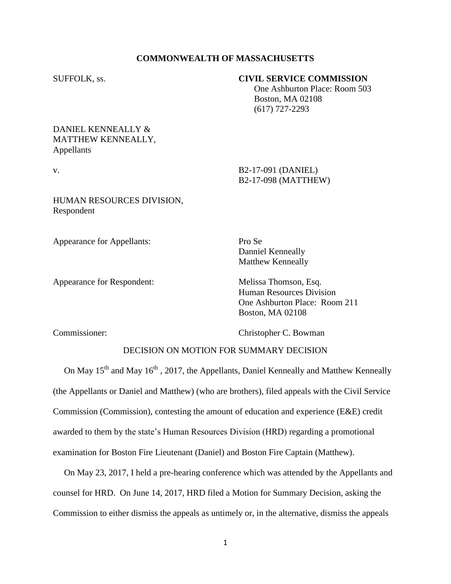### **COMMONWEALTH OF MASSACHUSETTS**

#### SUFFOLK, ss. **CIVIL SERVICE COMMISSION**

 One Ashburton Place: Room 503 Boston, MA 02108 (617) 727-2293

# DANIEL KENNEALLY & MATTHEW KENNEALLY, Appellants

v. B2-17-091 (DANIEL)

HUMAN RESOURCES DIVISION, Respondent

Appearance for Appellants: Pro Se

Appearance for Respondent: Melissa Thomson, Esq.

B2-17-098 (MATTHEW)

Danniel Kenneally Matthew Kenneally

Human Resources Division One Ashburton Place: Room 211 Boston, MA 02108

Commissioner: Christopher C. Bowman

# DECISION ON MOTION FOR SUMMARY DECISION

On May  $15<sup>th</sup>$  and May  $16<sup>th</sup>$ , 2017, the Appellants, Daniel Kenneally and Matthew Kenneally (the Appellants or Daniel and Matthew) (who are brothers), filed appeals with the Civil Service Commission (Commission), contesting the amount of education and experience (E&E) credit awarded to them by the state's Human Resources Division (HRD) regarding a promotional examination for Boston Fire Lieutenant (Daniel) and Boston Fire Captain (Matthew).

 On May 23, 2017, I held a pre-hearing conference which was attended by the Appellants and counsel for HRD. On June 14, 2017, HRD filed a Motion for Summary Decision, asking the Commission to either dismiss the appeals as untimely or, in the alternative, dismiss the appeals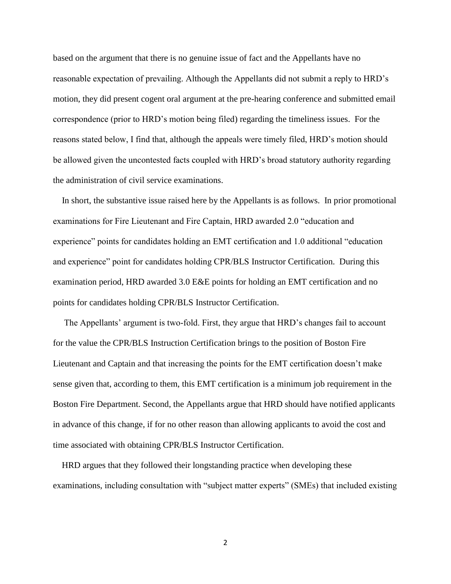based on the argument that there is no genuine issue of fact and the Appellants have no reasonable expectation of prevailing. Although the Appellants did not submit a reply to HRD's motion, they did present cogent oral argument at the pre-hearing conference and submitted email correspondence (prior to HRD's motion being filed) regarding the timeliness issues. For the reasons stated below, I find that, although the appeals were timely filed, HRD's motion should be allowed given the uncontested facts coupled with HRD's broad statutory authority regarding the administration of civil service examinations.

 In short, the substantive issue raised here by the Appellants is as follows. In prior promotional examinations for Fire Lieutenant and Fire Captain, HRD awarded 2.0 "education and experience" points for candidates holding an EMT certification and 1.0 additional "education and experience" point for candidates holding CPR/BLS Instructor Certification. During this examination period, HRD awarded 3.0 E&E points for holding an EMT certification and no points for candidates holding CPR/BLS Instructor Certification.

 The Appellants' argument is two-fold. First, they argue that HRD's changes fail to account for the value the CPR/BLS Instruction Certification brings to the position of Boston Fire Lieutenant and Captain and that increasing the points for the EMT certification doesn't make sense given that, according to them, this EMT certification is a minimum job requirement in the Boston Fire Department. Second, the Appellants argue that HRD should have notified applicants in advance of this change, if for no other reason than allowing applicants to avoid the cost and time associated with obtaining CPR/BLS Instructor Certification.

 HRD argues that they followed their longstanding practice when developing these examinations, including consultation with "subject matter experts" (SMEs) that included existing

2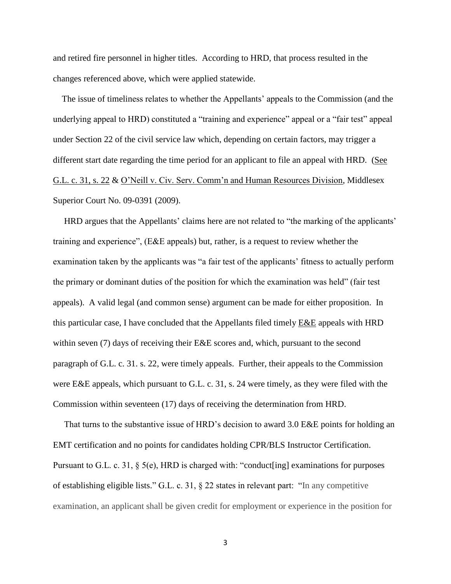and retired fire personnel in higher titles. According to HRD, that process resulted in the changes referenced above, which were applied statewide.

 The issue of timeliness relates to whether the Appellants' appeals to the Commission (and the underlying appeal to HRD) constituted a "training and experience" appeal or a "fair test" appeal under Section 22 of the civil service law which, depending on certain factors, may trigger a different start date regarding the time period for an applicant to file an appeal with HRD. (See G.L. c. 31, s. 22 & O'Neill v. Civ. Serv. Comm'n and Human Resources Division, Middlesex Superior Court No. 09-0391 (2009).

 HRD argues that the Appellants' claims here are not related to "the marking of the applicants' training and experience", (E&E appeals) but, rather, is a request to review whether the examination taken by the applicants was "a fair test of the applicants' fitness to actually perform the primary or dominant duties of the position for which the examination was held" (fair test appeals). A valid legal (and common sense) argument can be made for either proposition. In this particular case, I have concluded that the Appellants filed timely E&E appeals with HRD within seven (7) days of receiving their E&E scores and, which, pursuant to the second paragraph of G.L. c. 31. s. 22, were timely appeals. Further, their appeals to the Commission were E&E appeals, which pursuant to G.L. c. 31, s. 24 were timely, as they were filed with the Commission within seventeen (17) days of receiving the determination from HRD.

 That turns to the substantive issue of HRD's decision to award 3.0 E&E points for holding an EMT certification and no points for candidates holding CPR/BLS Instructor Certification. Pursuant to G.L. c. 31, § 5(e), HRD is charged with: "conduct[ing] examinations for purposes of establishing eligible lists." G.L. c. 31, § 22 states in relevant part: "In any competitive examination, an applicant shall be given credit for employment or experience in the position for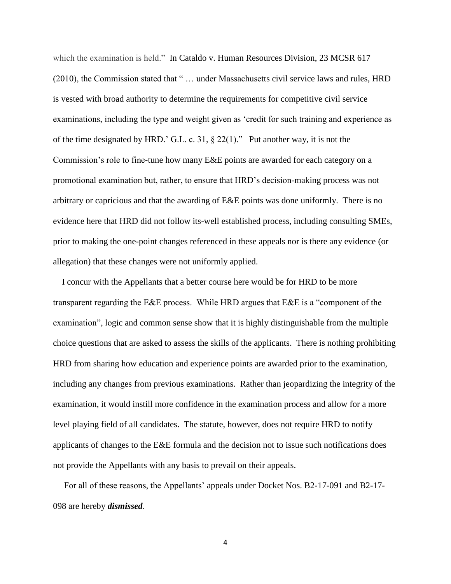which the examination is held." In Cataldo v. Human Resources Division, 23 MCSR 617 (2010), the Commission stated that " … under Massachusetts civil service laws and rules, HRD is vested with broad authority to determine the requirements for competitive civil service examinations, including the type and weight given as 'credit for such training and experience as of the time designated by HRD.' G.L. c. 31, § 22(1)." Put another way, it is not the Commission's role to fine-tune how many E&E points are awarded for each category on a promotional examination but, rather, to ensure that HRD's decision-making process was not arbitrary or capricious and that the awarding of E&E points was done uniformly. There is no evidence here that HRD did not follow its-well established process, including consulting SMEs, prior to making the one-point changes referenced in these appeals nor is there any evidence (or allegation) that these changes were not uniformly applied.

 I concur with the Appellants that a better course here would be for HRD to be more transparent regarding the E&E process. While HRD argues that E&E is a "component of the examination", logic and common sense show that it is highly distinguishable from the multiple choice questions that are asked to assess the skills of the applicants. There is nothing prohibiting HRD from sharing how education and experience points are awarded prior to the examination, including any changes from previous examinations. Rather than jeopardizing the integrity of the examination, it would instill more confidence in the examination process and allow for a more level playing field of all candidates. The statute, however, does not require HRD to notify applicants of changes to the E&E formula and the decision not to issue such notifications does not provide the Appellants with any basis to prevail on their appeals.

 For all of these reasons, the Appellants' appeals under Docket Nos. B2-17-091 and B2-17- 098 are hereby *dismissed*.

4